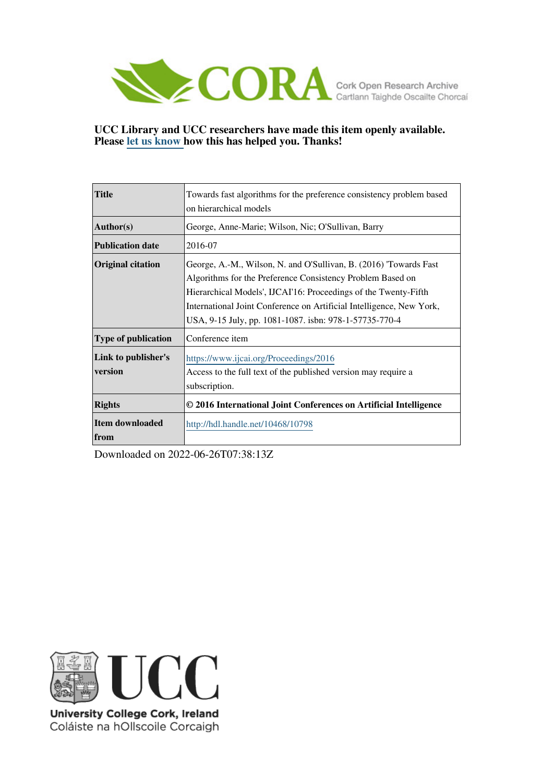

## **UCC Library and UCC researchers have made this item openly available. Please [let us know h](https://libguides.ucc.ie/openaccess/impact?suffix=10798&title=Towards fast algorithms for the preference consistency problem based on hierarchical models)ow this has helped you. Thanks!**

| <b>Title</b>               | Towards fast algorithms for the preference consistency problem based |  |  |  |  |  |  |
|----------------------------|----------------------------------------------------------------------|--|--|--|--|--|--|
|                            | on hierarchical models                                               |  |  |  |  |  |  |
| Author(s)                  | George, Anne-Marie; Wilson, Nic; O'Sullivan, Barry                   |  |  |  |  |  |  |
| <b>Publication date</b>    | 2016-07                                                              |  |  |  |  |  |  |
| <b>Original citation</b>   | George, A.-M., Wilson, N. and O'Sullivan, B. (2016) Towards Fast     |  |  |  |  |  |  |
|                            | Algorithms for the Preference Consistency Problem Based on           |  |  |  |  |  |  |
|                            | Hierarchical Models', IJCAI'16: Proceedings of the Twenty-Fifth      |  |  |  |  |  |  |
|                            | International Joint Conference on Artificial Intelligence, New York, |  |  |  |  |  |  |
|                            | USA, 9-15 July, pp. 1081-1087. isbn: 978-1-57735-770-4               |  |  |  |  |  |  |
| <b>Type of publication</b> | Conference item                                                      |  |  |  |  |  |  |
| Link to publisher's        | https://www.ijcai.org/Proceedings/2016                               |  |  |  |  |  |  |
| version                    | Access to the full text of the published version may require a       |  |  |  |  |  |  |
|                            | subscription.                                                        |  |  |  |  |  |  |
| <b>Rights</b>              | © 2016 International Joint Conferences on Artificial Intelligence    |  |  |  |  |  |  |
| Item downloaded            | http://hdl.handle.net/10468/10798                                    |  |  |  |  |  |  |
| from                       |                                                                      |  |  |  |  |  |  |

Downloaded on 2022-06-26T07:38:13Z



University College Cork, Ireland Coláiste na hOllscoile Corcaigh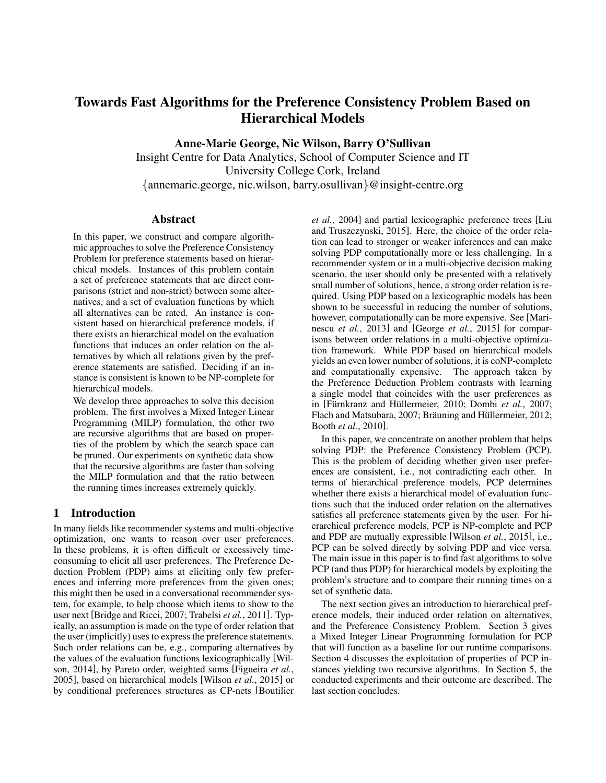# Towards Fast Algorithms for the Preference Consistency Problem Based on Hierarchical Models

Anne-Marie George, Nic Wilson, Barry O'Sullivan

Insight Centre for Data Analytics, School of Computer Science and IT University College Cork, Ireland {annemarie.george, nic.wilson, barry.osullivan}@insight-centre.org

#### Abstract

In this paper, we construct and compare algorithmic approaches to solve the Preference Consistency Problem for preference statements based on hierarchical models. Instances of this problem contain a set of preference statements that are direct comparisons (strict and non-strict) between some alternatives, and a set of evaluation functions by which all alternatives can be rated. An instance is consistent based on hierarchical preference models, if there exists an hierarchical model on the evaluation functions that induces an order relation on the alternatives by which all relations given by the preference statements are satisfied. Deciding if an instance is consistent is known to be NP-complete for hierarchical models.

We develop three approaches to solve this decision problem. The first involves a Mixed Integer Linear Programming (MILP) formulation, the other two are recursive algorithms that are based on properties of the problem by which the search space can be pruned. Our experiments on synthetic data show that the recursive algorithms are faster than solving the MILP formulation and that the ratio between the running times increases extremely quickly.

## 1 Introduction

In many fields like recommender systems and multi-objective optimization, one wants to reason over user preferences. In these problems, it is often difficult or excessively timeconsuming to elicit all user preferences. The Preference Deduction Problem (PDP) aims at eliciting only few preferences and inferring more preferences from the given ones; this might then be used in a conversational recommender system, for example, to help choose which items to show to the user next [Bridge and Ricci, 2007; Trabelsi *et al.*, 2011]. Typically, an assumption is made on the type of order relation that the user (implicitly) uses to express the preference statements. Such order relations can be, e.g., comparing alternatives by the values of the evaluation functions lexicographically [Wilson, 2014], by Pareto order, weighted sums [Figueira *et al.*, 2005], based on hierarchical models [Wilson *et al.*, 2015] or by conditional preferences structures as CP-nets [Boutilier *et al.*, 2004] and partial lexicographic preference trees [Liu and Truszczynski, 2015]. Here, the choice of the order relation can lead to stronger or weaker inferences and can make solving PDP computationally more or less challenging. In a recommender system or in a multi-objective decision making scenario, the user should only be presented with a relatively small number of solutions, hence, a strong order relation is required. Using PDP based on a lexicographic models has been shown to be successful in reducing the number of solutions, however, computationally can be more expensive. See [Marinescu *et al.*, 2013] and [George *et al.*, 2015] for comparisons between order relations in a multi-objective optimization framework. While PDP based on hierarchical models yields an even lower number of solutions, it is coNP-complete and computationally expensive. The approach taken by the Preference Deduction Problem contrasts with learning a single model that coincides with the user preferences as in [Fürnkranz and Hüllermeier, 2010; Dombi et al., 2007; Flach and Matsubara, 2007; Bräuning and Hüllermeier, 2012; Booth *et al.*, 2010].

In this paper, we concentrate on another problem that helps solving PDP: the Preference Consistency Problem (PCP). This is the problem of deciding whether given user preferences are consistent, i.e., not contradicting each other. In terms of hierarchical preference models, PCP determines whether there exists a hierarchical model of evaluation functions such that the induced order relation on the alternatives satisfies all preference statements given by the user. For hierarchical preference models, PCP is NP-complete and PCP and PDP are mutually expressible [Wilson *et al.*, 2015], i.e., PCP can be solved directly by solving PDP and vice versa. The main issue in this paper is to find fast algorithms to solve PCP (and thus PDP) for hierarchical models by exploiting the problem's structure and to compare their running times on a set of synthetic data.

The next section gives an introduction to hierarchical preference models, their induced order relation on alternatives, and the Preference Consistency Problem. Section 3 gives a Mixed Integer Linear Programming formulation for PCP that will function as a baseline for our runtime comparisons. Section 4 discusses the exploitation of properties of PCP instances yielding two recursive algorithms. In Section 5, the conducted experiments and their outcome are described. The last section concludes.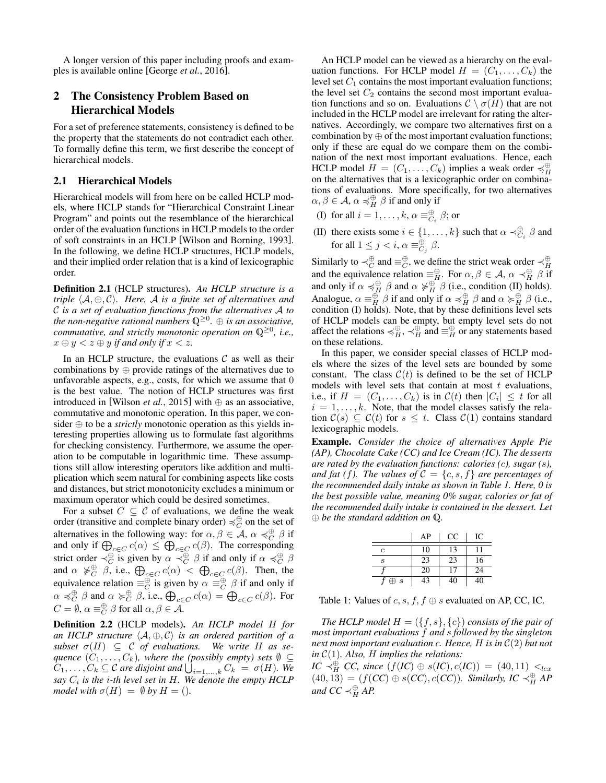A longer version of this paper including proofs and examples is available online [George *et al.*, 2016].

## 2 The Consistency Problem Based on Hierarchical Models

For a set of preference statements, consistency is defined to be the property that the statements do not contradict each other. To formally define this term, we first describe the concept of hierarchical models.

#### 2.1 Hierarchical Models

Hierarchical models will from here on be called HCLP models, where HCLP stands for "Hierarchical Constraint Linear Program" and points out the resemblance of the hierarchical order of the evaluation functions in HCLP models to the order of soft constraints in an HCLP [Wilson and Borning, 1993]. In the following, we define HCLP structures, HCLP models, and their implied order relation that is a kind of lexicographic order.

Definition 2.1 (HCLP structures). *An HCLP structure is a triple*  $\langle A, \oplus, C \rangle$ *. Here,* A *is a finite set of alternatives and* C *is a set of evaluation functions from the alternatives* A *to the non-negative rational numbers* Q<sup>≥</sup><sup>0</sup> *.* ⊕ *is an associative, commutative, and strictly monotonic operation on* Q<sup>≥</sup><sup>0</sup> *, i.e.,*  $x \oplus y < z \oplus y$  *if and only if*  $x < z$ *.* 

In an HCLP structure, the evaluations  $C$  as well as their combinations by ⊕ provide ratings of the alternatives due to unfavorable aspects, e.g., costs, for which we assume that 0 is the best value. The notion of HCLP structures was first introduced in [Wilson *et al.*, 2015] with  $\oplus$  as an associative, commutative and monotonic operation. In this paper, we consider ⊕ to be a *strictly* monotonic operation as this yields interesting properties allowing us to formulate fast algorithms for checking consistency. Furthermore, we assume the operation to be computable in logarithmic time. These assumptions still allow interesting operators like addition and multiplication which seem natural for combining aspects like costs and distances, but strict monotonicity excludes a minimum or maximum operator which could be desired sometimes.

For a subset  $C \subseteq \mathcal{C}$  of evaluations, we define the weak order (transitive and complete binary order)  $\preccurlyeq_C^{\oplus}$  on the set of alternatives in the following way: for  $\alpha, \beta \in \mathcal{A}, \alpha \preccurlyeq_C^{\oplus} \beta$  if and only if  $\bigoplus_{c \in C} c(\alpha) \le \bigoplus_{c \in C} c(\beta)$ . The corresponding strict order  $\prec_C^{\oplus}$  is given by  $\alpha \prec_C^{\oplus} \beta$  if and only if  $\alpha \preccurlyeq_C^{\oplus} \beta$ and  $\alpha \neq_C^{\oplus} \beta$ , i.e.,  $\bigoplus_{c \in C} c(\alpha) < \bigoplus_{c \in C} c(\beta)$ . Then, the equivalence relation  $\equiv_C^{\oplus}$  is given by  $\alpha \equiv_C^{\oplus} \beta$  if and only if  $\alpha \preccurlyeq_C^{\oplus} \beta$  and  $\alpha \succ_C^{\oplus} \beta$ , i.e.,  $\bigoplus_{c \in C} c(\alpha) = \bigoplus_{c \in C} c(\beta)$ . For  $C = \emptyset$ ,  $\alpha \equiv_C^{\oplus} \beta$  for all  $\alpha, \beta \in A$ .

Definition 2.2 (HCLP models). *An HCLP model* H *for an HCLP structure*  $\langle A, \oplus, C \rangle$  *is an ordered partition of a*  $subset \ \sigma(H) \subseteq C$  *of evaluations.* We write H as se*quence*  $(C_1, \ldots, C_k)$ *, where the (possibly empty) sets*  $\emptyset \subseteq$  $C_1, \ldots, C_k \subseteq \mathcal{C}$  are disjoint and  $\bigcup_{i=1,\ldots,k} C_k = \sigma(H)$ . We *say*  $C_i$  *is the i-th level set in H. We denote the empty HCLP model with*  $\sigma(H) = \emptyset$  *by*  $H = ($ *).* 

An HCLP model can be viewed as a hierarchy on the evaluation functions. For HCLP model  $H = (C_1, \ldots, C_k)$  the level set  $C_1$  contains the most important evaluation functions; the level set  $C_2$  contains the second most important evaluation functions and so on. Evaluations  $\mathcal{C} \setminus \sigma(H)$  that are not included in the HCLP model are irrelevant for rating the alternatives. Accordingly, we compare two alternatives first on a combination by  $\oplus$  of the most important evaluation functions; only if these are equal do we compare them on the combination of the next most important evaluations. Hence, each HCLP model  $H = (C_1, \ldots, C_k)$  implies a weak order  $\preccurlyeq_H^{\oplus}$ on the alternatives that is a lexicographic order on combinations of evaluations. More specifically, for two alternatives  $\alpha, \beta \in \mathcal{A}, \alpha \preccurlyeq_H^{\oplus} \beta$  if and only if

- (I) for all  $i = 1, \ldots, k, \alpha \equiv_{C_i}^{\oplus} \beta$ ; or
- (II) there exists some  $i \in \{1, ..., k\}$  such that  $\alpha \prec_{C_i}^{\oplus} \beta$  and for all  $1 \leq j < i$ ,  $\alpha \equiv_{C_j}^{\oplus} \beta$ .

Similarly to  $\prec_C^{\oplus}$  and  $\equiv_C^{\oplus}$ , we define the strict weak order  $\prec_H^{\oplus}$ Similarly to  $\prec_C$  and  $\equiv_C$ , we define the strict weak order  $\prec_H$ <br>and the equivalence relation  $\equiv_H^{\oplus}$ . For  $\alpha, \beta \in A$ ,  $\alpha \prec_H^{\oplus} \beta$  if and only if  $\alpha \preccurlyeq^{\oplus}_{H} \beta$  and  $\alpha \not\succ^{\oplus}_{H} \beta$  (i.e., condition (II) holds). Analogue,  $\alpha \equiv_H^{\oplus} \beta$  if and only if  $\alpha \preccurlyeq_H^{\oplus} \beta$  and  $\alpha \succ_H^{\oplus} \beta$  (i.e., condition (I) holds). Note, that by these definitions level sets of HCLP models can be empty, but empty level sets do not affect the relations  $\preccurlyeq_H^{\oplus}$ ,  $\preccurlyeq_H^{\oplus}$  and  $\equiv_H^{\oplus}$  or any statements based on these relations.

In this paper, we consider special classes of HCLP models where the sizes of the level sets are bounded by some constant. The class  $C(t)$  is defined to be the set of HCLP models with level sets that contain at most  $t$  evaluations, i.e., if  $H = (C_1, \ldots, C_k)$  is in  $\mathcal{C}(t)$  then  $|C_i| \leq t$  for all  $i = 1, \ldots, k$ . Note, that the model classes satisfy the relation  $C(s) \subseteq C(t)$  for  $s \leq t$ . Class  $C(1)$  contains standard lexicographic models.

Example. *Consider the choice of alternatives Apple Pie (AP), Chocolate Cake (CC) and Ice Cream (IC). The desserts are rated by the evaluation functions: calories (*c*), sugar (*s*), and fat (f). The values of*  $C = \{c, s, f\}$  *are percentages of the recommended daily intake as shown in Table 1. Here, 0 is the best possible value, meaning 0% sugar, calories or fat of the recommended daily intake is contained in the dessert. Let* ⊕ *be the standard addition on* Q*.*

|            | AP | CC | IC |
|------------|----|----|----|
| с          | 10 | 13 |    |
| S          | 23 | 23 | 16 |
|            | 20 | 17 | 24 |
| $\oplus s$ | 43 | 40 | 40 |

Table 1: Values of  $c, s, f, f \oplus s$  evaluated on AP, CC, IC.

*The HCLP model*  $H = (\{f, s\}, \{c\})$  *consists of the pair of most important evaluations* f *and* s *followed by the singleton next most important evaluation* c*. Hence,* H *is in* C(2) *but not in* C(1)*. Also,* H *implies the relations:*

*IC*  $\prec^{\oplus}_{H}$  *CC*, since (*f*(*IC*) ⊕ *s*(*IC*), *c*(*IC*)) = (40, 11)  $\lt_{lex}$  $(40, 13) = (f(CC) \oplus s(CC), c(CC)$ *. Similarly, IC*  $\prec_H^{\oplus} AP$ and  $CC \prec_H^{\oplus} AP$ .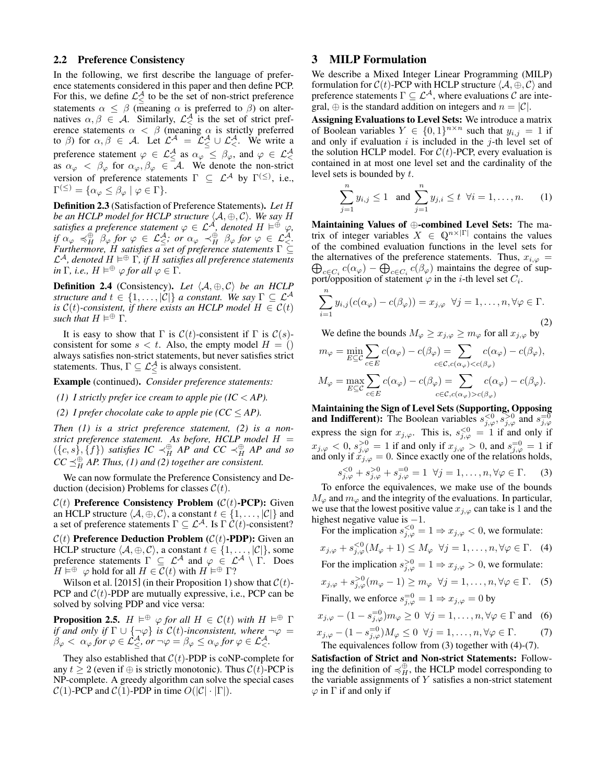#### 2.2 Preference Consistency

In the following, we first describe the language of preference statements considered in this paper and then define PCP. For this, we define  $\mathcal{L}^{\mathcal{A}}_{\leq}$  to be the set of non-strict preference statements  $\alpha \leq \beta$  (meaning  $\alpha$  is preferred to  $\beta$ ) on alternatives  $\alpha, \beta \in \mathcal{A}$ . Similarly,  $\mathcal{L}_{\leq}^{\mathcal{A}}$  is the set of strict preference statements  $\alpha < \beta$  (meaning  $\alpha$  is strictly preferred to  $\beta$ ) for  $\alpha, \beta \in A$ . Let  $\mathcal{L}^A = \mathcal{L}^A \cup \mathcal{L}^A \in \mathcal{L}$ . We write a preference statement  $\varphi \in \mathcal{L}^{\mathcal{A}}_{\leq}$  as  $\alpha_{\varphi} \leq \beta_{\varphi}$ , and  $\varphi \in \mathcal{L}^{\mathcal{A}}_{\leq}$  as  $\alpha_{\varphi} \langle \beta_{\varphi} \rangle$  for  $\alpha_{\varphi}, \beta_{\varphi} \in \mathcal{A}$ . We denote the non-strict version of preference statements  $\Gamma \subseteq \mathcal{L}^{\mathcal{A}}$  by  $\Gamma^{(\le)}$ , i.e.,  $\Gamma^{(\le)} = \{\alpha_{\varphi} \le \beta_{\varphi} \mid \varphi \in \Gamma\}.$ 

Definition 2.3 (Satisfaction of Preference Statements). *Let* H *be an HCLP model for HCLP structure*  $\langle A, ⊕, C \rangle$ *. We say H* satisfies a preference statement  $\varphi \in \mathcal{L}^{\mathcal{A}}$ , denoted  $H \vDash^{\check{\oplus}} \varphi$ ,  $if \alpha_{\varphi} \preccurlyeq^{\oplus}_{H} \beta_{\varphi} \text{ for } \varphi \in \mathcal{L}^{\mathcal{A}}_{\leq}$ , or  $\alpha_{\varphi} \preccurlyeq^{\oplus}_{H} \beta_{\varphi} \text{ for } \varphi \in \mathcal{L}^{\mathcal{A}}_{\leq}$ . *Furthermore,* H *satisfies a set of preference statements* Γ ⊆ L <sup>A</sup>*, denoted* H <sup>⊕</sup> Γ*, if* H *satisfies all preference statements in*  $\Gamma$ *, i.e.,*  $H \models^{\oplus} \varphi$  *for all*  $\varphi \in \Gamma$ *.* 

**Definition 2.4** (Consistency). Let  $\langle A, \oplus, C \rangle$  be an HCLP *structure and*  $t \in \{1, \ldots, |\mathcal{C}|\}$  *a constant. We say*  $\Gamma \subseteq \mathcal{L}^{\mathcal{A}}$ *is*  $C(t)$ -consistent, if there exists an HCLP model  $H \in C(t)$  $\sinh$  *that*  $H \models^{\oplus} \Gamma$ .

It is easy to show that  $\Gamma$  is  $C(t)$ -consistent if  $\Gamma$  is  $C(s)$ consistent for some  $s < t$ . Also, the empty model  $H = ()$ always satisfies non-strict statements, but never satisfies strict statements. Thus,  $\Gamma \subseteq \mathcal{L}^{\mathcal{A}}_{\leq}$  is always consistent.

Example (continued). *Consider preference statements:*

*(1) I strictly prefer ice cream to apple pie*  $(IC < AP)$ *.* 

*(2) I prefer chocolate cake to apple pie (* $CC \le AP$ *).* 

*Then (1) is a strict preference statement, (2) is a nonstrict preference statement. As before, HCLP model* H =  $(\{c, s\}, \{f\})$  *satisfies IC*  $\prec_H^{\oplus} AP$  *and CC*  $\prec_H^{\oplus} AP$  *and so*  $CC \preceq_H^{\oplus} AP$ . Thus, (1) and (2) together are consistent.

We can now formulate the Preference Consistency and Deduction (decision) Problems for classes  $C(t)$ .

 $C(t)$  Preference Consistency Problem ( $C(t)$ -PCP): Given an HCLP structure  $\langle A, \oplus, C \rangle$ , a constant  $t \in \{1, \ldots, |\mathcal{C}|\}$  and a set of preference statements  $\Gamma \subseteq \mathcal{L}^{\mathcal{A}}$ . Is  $\Gamma \mathcal{C}(t)$ -consistent?

 $C(t)$  Preference Deduction Problem ( $C(t)$ -PDP): Given an HCLP structure  $\langle A, \oplus, C \rangle$ , a constant  $t \in \{1, \ldots, |\mathcal{C}|\}$ , some preference statements  $\Gamma \subseteq \mathcal{L}^{\mathcal{A}}$  and  $\varphi \in \mathcal{L}^{\mathcal{A}} \setminus \Gamma$ . Does  $H \vDash^{\oplus} \varphi$  hold for all  $H \in \overline{\mathcal{C}}(t)$  with  $H \vDash^{\oplus} \Gamma$ ?

Wilson et al. [2015] (in their Proposition 1) show that  $C(t)$ -PCP and  $C(t)$ -PDP are mutually expressive, i.e., PCP can be solved by solving PDP and vice versa:

**Proposition 2.5.**  $H \models^{\oplus} \varphi$  for all  $H \in \mathcal{C}(t)$  with  $H \models^{\oplus} \Gamma$ *if and only if*  $\Gamma \cup \{\neg \varphi\}$  *is*  $C(t)$ -inconsistent, where  $\neg \varphi =$  $\beta_{\varphi} < \alpha_{\varphi}$  for  $\varphi \in \mathcal{L}_{\leq}^{\mathcal{A}},$  or  $\neg \varphi = \beta_{\varphi} \leq \alpha_{\varphi}$  for  $\varphi \in \mathcal{L}_{\leq}^{\mathcal{A}}.$ 

They also established that  $C(t)$ -PDP is coNP-complete for any  $t \ge 2$  (even if  $\oplus$  is strictly monotonic). Thus  $C(t)$ -PCP is NP-complete. A greedy algorithm can solve the special cases  $C(1)$ -PCP and  $C(1)$ -PDP in time  $O(|C| \cdot |\Gamma|)$ .

### 3 MILP Formulation

We describe a Mixed Integer Linear Programming (MILP) formulation for  $C(t)$ -PCP with HCLP structure  $\langle A, \oplus, C \rangle$  and preference statements  $\Gamma \subseteq \mathcal{L}^{\mathcal{A}}$ , where evaluations  $\mathcal{C}$  are integral,  $\oplus$  is the standard addition on integers and  $n = |\mathcal{C}|$ .

Assigning Evaluations to Level Sets: We introduce a matrix of Boolean variables  $Y \in \{0,1\}^{n \times n}$  such that  $y_{i,j} = 1$  if and only if evaluation  $i$  is included in the  $j$ -th level set of the solution HCLP model. For  $C(t)$ -PCP, every evaluation is contained in at most one level set and the cardinality of the level sets is bounded by t.

$$
\sum_{j=1}^{n} y_{i,j} \le 1 \text{ and } \sum_{j=1}^{n} y_{j,i} \le t \ \forall i = 1, \dots, n. \qquad (1)
$$

Maintaining Values of ⊕-combined Level Sets: The matrix of integer variables  $X \in \mathbb{Q}^{n \times |\Gamma|}$  contains the values of the combined evaluation functions in the level sets for  $\bigoplus_{c \in C_i} c(\alpha_\varphi) - \bigoplus_{c \in C_i} c(\beta_\varphi)$  maintains the degree of supthe alternatives of the preference statements. Thus,  $x_{i,\varphi} =$ port/opposition of statement  $\varphi$  in the *i*-th level set  $C_i$ .

$$
\sum_{i=1}^{n} y_{i,j} (c(\alpha_{\varphi}) - c(\beta_{\varphi})) = x_{j,\varphi} \quad \forall j = 1, \dots, n, \forall \varphi \in \Gamma.
$$
\n(2)

We define the bounds  $M_{\varphi} \ge x_{j,\varphi} \ge m_{\varphi}$  for all  $x_{j,\varphi}$  by

$$
m_{\varphi} = \min_{E \subseteq \mathcal{C}} \sum_{c \in E} c(\alpha_{\varphi}) - c(\beta_{\varphi}) = \sum_{c \in \mathcal{C}, c(\alpha_{\varphi}) < c(\beta_{\varphi})} c(\alpha_{\varphi}) - c(\beta_{\varphi}),
$$
\n
$$
M_{\varphi} = \max_{E \subseteq \mathcal{C}} \sum_{c \in E} c(\alpha_{\varphi}) - c(\beta_{\varphi}) = \sum_{c \in \mathcal{C}, c(\alpha_{\varphi}) > c(\beta_{\varphi})} c(\alpha_{\varphi}) - c(\beta_{\varphi}).
$$

Maintaining the Sign of Level Sets (Supporting, Opposing and Indifferent): The Boolean variables  $s_{j, \varphi}^{< 0}, s_{j, \varphi}^{> 0}$  and  $s_{j, \varphi}^{= 0}$ express the sign for  $x_{j,\varphi}$ . This is,  $s_{j,\varphi}^{<0} = 1$  if and only if  $x_{j,\varphi} < 0, s_{j,\varphi}^{>0} = 1$  if and only if  $x_{j,\varphi} > 0$ , and  $s_{j,\varphi}^{=0} = 1$  if and only if  $x_{j,\varphi} = 0$ . Since exactly one of the relations holds,

$$
s_{j,\varphi}^{<0} + s_{j,\varphi}^{>0} + s_{j,\varphi}^{=0} = 1 \ \forall j = 1, ..., n, \forall \varphi \in \Gamma.
$$
 (3)

To enforce the equivalences, we make use of the bounds  $M_{\varphi}$  and  $m_{\varphi}$  and the integrity of the evaluations. In particular, we use that the lowest positive value  $x_{j,\varphi}$  can take is 1 and the highest negative value is  $-1$ .

For the implication  $s_{j,\varphi}^{<0} = 1 \Rightarrow x_{j,\varphi} < 0$ , we formulate:

$$
x_{j,\varphi} + s_{j,\varphi}^{< 0}(M_{\varphi} + 1) \le M_{\varphi} \quad \forall j = 1, \dots, n, \forall \varphi \in \Gamma. \tag{4}
$$

For the implication  $s_{j,\varphi}^{>0} = 1 \Rightarrow x_{j,\varphi} > 0$ , we formulate:

$$
x_{j,\varphi} + s_{j,\varphi}^{>0}(m_{\varphi} - 1) \ge m_{\varphi} \quad \forall j = 1, \dots, n, \forall \varphi \in \Gamma. \tag{5}
$$

Finally, we enforce 
$$
s_{j,\varphi}^{=0} = 1 \Rightarrow x_{j,\varphi} = 0
$$
 by

$$
x_{j,\varphi} - (1 - s_{j,\varphi}^{-0}) m_{\varphi} \ge 0 \quad \forall j = 1, \dots, n, \forall \varphi \in \Gamma \text{ and } \quad (6)
$$
  

$$
x_{j,\varphi} - (1 - s_{j,\varphi}^{-0}) M_{\varphi} < 0 \quad \forall j = 1, \dots, n, \forall \varphi \in \Gamma \quad \text{ and } \quad (7)
$$

$$
x_{j,\varphi} - (1 - s_{j,\varphi}^{-1})M_{\varphi} \le 0 \quad \forall j = 1, \dots, n, \forall \varphi \in \Gamma.
$$
 (7)  
The equivalences follow from (3) together with (4)-(7).

Satisfaction of Strict and Non-strict Statements: Following the definition of  $\preccurlyeq_H^{\oplus}$ , the HCLP model corresponding to the variable assignments of  $Y$  satisfies a non-strict statement  $\varphi$  in  $\Gamma$  if and only if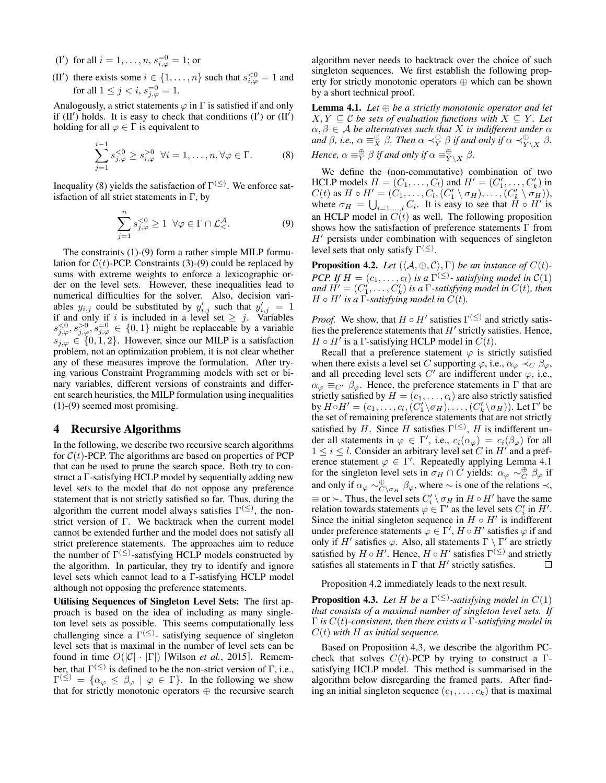- (I') for all  $i = 1, ..., n$ ,  $s_{i, \varphi}^{=0} = 1$ ; or
- (II') there exists some  $i \in \{1, \ldots, n\}$  such that  $s_{i,\varphi}^{<0} = 1$  and for all  $1 \le j < i$ ,  $s_{j,\varphi}^{=0} = 1$ .

Analogously, a strict statements  $\varphi$  in  $\Gamma$  is satisfied if and only if  $(II')$  holds. It is easy to check that conditions  $(I')$  or  $(II')$ holding for all  $\varphi \in \Gamma$  is equivalent to

$$
\sum_{j=1}^{i-1} s_{j,\varphi}^{<0} \ge s_{i,\varphi}^{>0} \ \forall i = 1, \dots, n, \forall \varphi \in \Gamma.
$$
 (8)

Inequality (8) yields the satisfaction of  $\Gamma^{(\le)}$ . We enforce satisfaction of all strict statements in  $\Gamma$ , by

$$
\sum_{j=1}^{n} s_{j,\varphi}^{<0} \ge 1 \ \ \forall \varphi \in \Gamma \cap \mathcal{L}_{<}^{\mathcal{A}}.
$$
 (9)

The constraints (1)-(9) form a rather simple MILP formulation for  $C(t)$ -PCP. Constraints (3)-(9) could be replaced by sums with extreme weights to enforce a lexicographic order on the level sets. However, these inequalities lead to numerical difficulties for the solver. Also, decision variables  $y_{i,j}$  could be substituted by  $y'_{i,j}$  such that  $y'_{i,j} = 1$ if and only if i is included in a level set  $\geq j$ . Variables  $s_{j,\varphi}^{<0}, s_{j,\varphi}^{>0}, s_{j,\varphi}^{=0} \in \{0,1\}$  might be replaceable by a variable  $s_{j,\varphi} \in \{0,1,2\}$ . However, since our MILP is a satisfaction problem, not an optimization problem, it is not clear whether any of these measures improve the formulation. After trying various Constraint Programming models with set or binary variables, different versions of constraints and different search heuristics, the MILP formulation using inequalities (1)-(9) seemed most promising.

#### 4 Recursive Algorithms

In the following, we describe two recursive search algorithms for  $C(t)$ -PCP. The algorithms are based on properties of PCP that can be used to prune the search space. Both try to construct a Γ-satisfying HCLP model by sequentially adding new level sets to the model that do not oppose any preference statement that is not strictly satisfied so far. Thus, during the algorithm the current model always satisfies  $\Gamma^{(\le)}$ , the nonstrict version of Γ. We backtrack when the current model cannot be extended further and the model does not satisfy all strict preference statements. The approaches aim to reduce the number of  $\Gamma^{(\le)}$ -satisfying HCLP models constructed by the algorithm. In particular, they try to identify and ignore level sets which cannot lead to a Γ-satisfying HCLP model although not opposing the preference statements.

Utilising Sequences of Singleton Level Sets: The first approach is based on the idea of including as many singleton level sets as possible. This seems computationally less challenging since a  $\Gamma^{(\le)}$ - satisfying sequence of singleton level sets that is maximal in the number of level sets can be found in time  $O(|C| \cdot |\Gamma|)$  [Wilson *et al.*, 2015]. Remember, that  $\Gamma^{(\le)}$  is defined to be the non-strict version of  $\Gamma$ , i.e.,  $\Gamma^{(\le)} = \{ \alpha_{\varphi} \leq \beta_{\varphi} \mid \varphi \in \Gamma \}.$  In the following we show that for strictly monotonic operators ⊕ the recursive search algorithm never needs to backtrack over the choice of such singleton sequences. We first establish the following property for strictly monotonic operators ⊕ which can be shown by a short technical proof.

Lemma 4.1. *Let* ⊕ *be a strictly monotonic operator and let*  $X, Y \subseteq \mathcal{C}$  *be sets of evaluation functions with*  $X \subseteq Y$ *. Let*  $\alpha, \beta \in \mathcal{A}$  *be alternatives such that* X *is indifferent under*  $\alpha$ and  $\beta$ , i.e.,  $\alpha \equiv_X^{\oplus} \beta$ . Then  $\alpha \prec_Y^{\oplus} \beta$  if and only if  $\alpha \prec_{Y \setminus X}^{\oplus} \beta$ . Hence,  $\alpha \equiv^{\oplus}_Y \beta$  if and only if  $\alpha \equiv^{\oplus}_{Y \setminus X} \beta$ .

We define the (non-commutative) combination of two HCLP models  $H = (C_1, \ldots, C_l)$  and  $H' = (C'_1, \ldots, C'_k)$  in  $C(t)$  as  $H \circ H' = (\dot{C}_1, \ldots, \dot{C}_l, (\dot{C}_1' \setminus \sigma_H), \ldots, (\dot{C}_k' \setminus \dot{\sigma_H})),$ where  $\sigma_H = \bigcup_{i=1,\dots,l} C_i$ . It is easy to see that  $H \circ H'$  is an HCLP model in  $C(t)$  as well. The following proposition shows how the satisfaction of preference statements Γ from  $H'$  persists under combination with sequences of singleton level sets that only satisfy  $\Gamma^{(\le)}$ .

**Proposition 4.2.** *Let*  $(\langle A, \oplus, C \rangle, \Gamma)$  *be an instance of*  $C(t)$ *-PCP.* If  $H = (c_1, \ldots, c_l)$  *is a*  $\Gamma^{(\le)}$ - *satisfying model in*  $C(1)$ *and*  $H' = (C'_1, \ldots, C'_k)$  *is a*  $\Gamma$ *-satisfying model in*  $C(t)$ *, then*  $H \circ H'$  is a  $\overline{\Gamma}$ -satisfying model in  $\ddot{C}(t)$ .

*Proof.* We show, that  $H \circ H'$  satisfies  $\Gamma^{(\le)}$  and strictly satisfies the preference statements that  $H'$  strictly satisfies. Hence,  $H \circ H'$  is a  $\Gamma$ -satisfying HCLP model in  $C(t)$ .

Recall that a preference statement  $\varphi$  is strictly satisfied when there exists a level set C supporting  $\varphi$ , i.e.,  $\alpha_{\varphi} \prec_C \beta_{\varphi}$ , and all preceding level sets  $C'$  are indifferent under  $\varphi$ , i.e.,  $\alpha_{\varphi} \equiv_{C'} \beta_{\varphi}$ . Hence, the preference statements in Γ that are strictly satisfied by  $H = (c_1, \ldots, c_l)$  are also strictly satisfied by  $H \circ H' = (c_1, \ldots, c_l, (C'_1 \setminus \sigma_H), \ldots, (C'_k \setminus \sigma_H))$ . Let  $\Gamma'$  be the set of remaining preference statements that are not strictly satisfied by H. Since H satisfies  $\Gamma^{(\le)}$ , H is indifferent under all statements in  $\varphi \in \Gamma'$ , i.e.,  $c_i(\alpha_{\varphi}) = c_i(\beta_{\varphi})$  for all  $1 \leq i \leq l$ . Consider an arbitrary level set C in H' and a preference statement  $\varphi \in \Gamma'$ . Repeatedly applying Lemma 4.1 for the singleton level sets in  $\sigma_H \cap C$  yields:  $\alpha_{\varphi} \sim_C^{\oplus} \beta_{\varphi}$  if and only if  $\alpha_{\varphi} \sim_{C\setminus \sigma_H}^{\oplus} \beta_{\varphi}$ , where  $\sim$  is one of the relations  $\prec$ ,  $\equiv$  or  $\succ$ . Thus, the level sets  $C_i' \setminus \sigma_H$  in  $H \circ H'$  have the same relation towards statements  $\varphi \in \Gamma'$  as the level sets  $C'_i$  in  $H'$ . Since the initial singleton sequence in  $H \circ H'$  is indifferent under preference statements  $\varphi \in \Gamma', H \circ H'$  satisfies  $\varphi$  if and only if  $H'$  satisfies  $\varphi$ . Also, all statements  $\Gamma \setminus \Gamma'$  are strictly satisfied by  $H \circ H'$ . Hence,  $H \circ H'$  satisfies  $\Gamma^{(\le)}$  and strictly satisfies all statements in  $\Gamma$  that  $H'$  strictly satisfies.  $\Box$ 

Proposition 4.2 immediately leads to the next result.

**Proposition 4.3.** Let H be a  $\Gamma^{(\leq)}$ -satisfying model in  $C(1)$ *that consists of a maximal number of singleton level sets. If* Γ *is* C(t)*-consistent, then there exists a* Γ*-satisfying model in* C(t) *with* H *as initial sequence.*

Based on Proposition 4.3, we describe the algorithm PCcheck that solves  $C(t)$ -PCP by trying to construct a Γsatisfying HCLP model. This method is summarised in the algorithm below disregarding the framed parts. After finding an initial singleton sequence  $(c_1, \ldots, c_k)$  that is maximal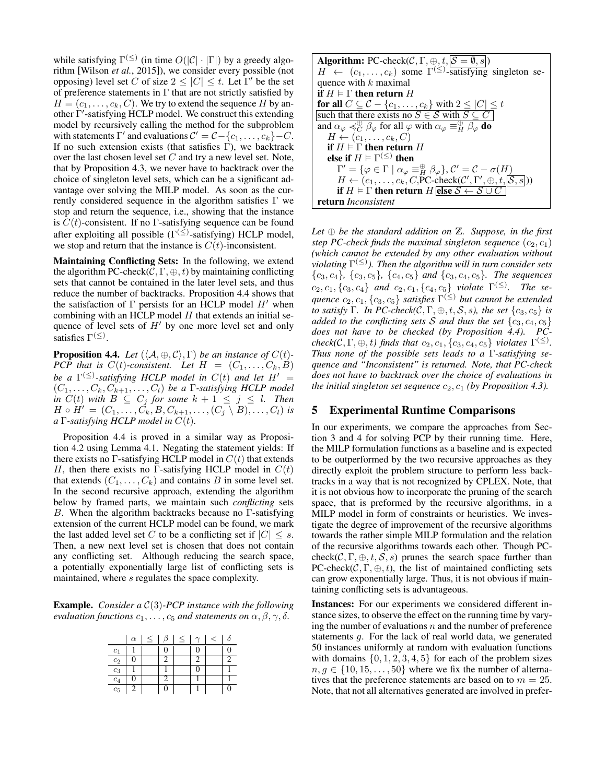while satisfying  $\Gamma^{(\le)}$  (in time  $O(|\mathcal{C}|\cdot|\Gamma|)$  by a greedy algorithm [Wilson *et al.*, 2015]), we consider every possible (not opposing) level set C of size  $2 \leq |C| \leq t$ . Let  $\Gamma'$  be the set of preference statements in  $\Gamma$  that are not strictly satisfied by  $H = (c_1, \ldots, c_k, C)$ . We try to extend the sequence H by another Γ'-satisfying HCLP model. We construct this extending model by recursively calling the method for the subproblem with statements  $\Gamma'$  and evaluations  $C' = C - \{c_1, \ldots, c_k\} - C$ . If no such extension exists (that satisfies  $\Gamma$ ), we backtrack over the last chosen level set  $C$  and try a new level set. Note, that by Proposition 4.3, we never have to backtrack over the choice of singleton level sets, which can be a significant advantage over solving the MILP model. As soon as the currently considered sequence in the algorithm satisfies Γ we stop and return the sequence, i.e., showing that the instance is  $C(t)$ -consistent. If no Γ-satisfying sequence can be found after exploiting all possible ( $\Gamma^{(\le)}$ -satisfying) HCLP model, we stop and return that the instance is  $C(t)$ -inconsistent.

Maintaining Conflicting Sets: In the following, we extend the algorithm PC-check( $C, \Gamma, \oplus, t$ ) by maintaining conflicting sets that cannot be contained in the later level sets, and thus reduce the number of backtracks. Proposition 4.4 shows that the satisfaction of  $\Gamma$  persists for an HCLP model  $H'$  when combining with an HCLP model  $H$  that extends an initial sequence of level sets of  $H'$  by one more level set and only satisfies  $\Gamma^{(\le)}$ .

**Proposition 4.4.** *Let*  $(\langle A, \oplus, C \rangle, \Gamma)$  *be an instance of*  $C(t)$ *-PCP that is*  $C(t)$ -consistent. Let  $H = (C_1, \ldots, C_k, B)$ *be a*  $\Gamma^{(\leq)}$ -satisfying HCLP model in  $C(t)$  and let  $H' =$  $(C_1, \ldots, C_k, C_{k+1}, \ldots, C_l)$  *be a* Γ-satisfying HCLP model *in*  $C(t)$  *with*  $B \subseteq C_j$  *for some*  $k + 1 \leq j \leq l$ *. Then*  $H \circ H' = (C_1, \ldots, C_k, B, C_{k+1}, \ldots, (C_j \setminus B), \ldots, C_l)$  *is a* Γ*-satisfying HCLP model in* C(t)*.*

Proposition 4.4 is proved in a similar way as Proposition 4.2 using Lemma 4.1. Negating the statement yields: If there exists no  $\Gamma$ -satisfying HCLP model in  $C(t)$  that extends H, then there exists no  $\Gamma$ -satisfying HCLP model in  $C(t)$ that extends  $(C_1, \ldots, C_k)$  and contains B in some level set. In the second recursive approach, extending the algorithm below by framed parts, we maintain such *conflicting* sets B. When the algorithm backtracks because no  $\Gamma$ -satisfying extension of the current HCLP model can be found, we mark the last added level set C to be a conflicting set if  $|C| \leq s$ . Then, a new next level set is chosen that does not contain any conflicting set. Although reducing the search space, a potentially exponentially large list of conflicting sets is maintained, where s regulates the space complexity.

Example. *Consider a* C(3)*-PCP instance with the following evaluation functions*  $c_1, \ldots, c_5$  *and statements on*  $\alpha, \beta, \gamma, \delta$ *.* 

|                | $\alpha$ | $\leq$ | $\leq$ | ← |  |
|----------------|----------|--------|--------|---|--|
| c <sub>1</sub> |          |        |        |   |  |
| c <sub>2</sub> |          |        |        |   |  |
| $c_3$          |          |        |        |   |  |
| $c_4$          |          |        |        |   |  |
| $c_5$          |          |        |        |   |  |

| <b>Algorithm:</b> PC-check( $C, \Gamma, \oplus, t,  \mathcal{S} = \emptyset, s $ )                                                            |  |  |
|-----------------------------------------------------------------------------------------------------------------------------------------------|--|--|
| $H \leftarrow (c_1, \ldots, c_k)$ some $\Gamma^{(\le)}$ -satisfying singleton se-                                                             |  |  |
| quence with $k$ maximal                                                                                                                       |  |  |
| if $H \models \Gamma$ then return $H$                                                                                                         |  |  |
| for all $C \subseteq C - \{c_1, \ldots, c_k\}$ with $2 \leq  C  \leq t$                                                                       |  |  |
| such that there exists no $S \in \mathcal{S}$ with $S \subseteq C$                                                                            |  |  |
| and $\alpha_{\varphi} \preccurlyeq_C^{\oplus} \beta_{\varphi}$ for all $\varphi$ with $\alpha_{\varphi} \equiv_H^{\oplus} \beta_{\varphi}$ do |  |  |
| $H \leftarrow (c_1, \ldots, c_k, C)$                                                                                                          |  |  |
| if $H \models \Gamma$ then return H                                                                                                           |  |  |
| else if $H \models \Gamma^{(\le)}$ then                                                                                                       |  |  |
| $\Gamma' = \{ \varphi \in \Gamma \mid \alpha_{\varphi} \equiv^{\oplus}_{H} \beta_{\varphi} \}, \mathcal{C}' = \mathcal{C} - \sigma(H)$        |  |  |
| $H \leftarrow (c_1, \ldots, c_k, C, PC\text{-check}(\mathcal{C}', \Gamma', \oplus, t, \overline{S, s}))$                                      |  |  |
| if $H \models \Gamma$ then return H else $S \leftarrow S \cup C$                                                                              |  |  |
| return Inconsistent                                                                                                                           |  |  |

*Let* ⊕ *be the standard addition on* Z*. Suppose, in the first step PC-check finds the maximal singleton sequence*  $(c_2, c_1)$ *(which cannot be extended by any other evaluation without violating* Γ (≤) *). Then the algorithm will in turn consider sets*  ${c_3, c_4}, {c_3, c_5}, {c_4, c_5}$  *and*  ${c_3, c_4, c_5}$ *. The sequences*  $c_2, c_1, \{c_3, c_4\}$  *and*  $c_2, c_1, \{c_4, c_5\}$  *violate*  $\Gamma^{(\le)}$ *. The se-* $\mathit{quence}\ c_2,c_1,\{c_3,c_5\}$  *satisfies*  $\Gamma^{(\le)}$  *but cannot be extended to satisfy* Γ*. In PC-check*( $C, \Gamma, \oplus, t, S, s$ ), the set  $\{c_3, c_5\}$  *is added to the conflicting sets* S *and thus the set*  $\{c_3, c_4, c_5\}$ *does not have to be checked (by Proposition 4.4). PC* $check(\mathcal{C}, \Gamma, \oplus, t)$  finds that  $c_2, c_1, \{c_3, c_4, c_5\}$  violates  $\Gamma^{(\le)}$ . *Thus none of the possible sets leads to a* Γ*-satisfying sequence and "Inconsistent" is returned. Note, that PC-check does not have to backtrack over the choice of evaluations in the initial singleton set sequence*  $c_2$ ,  $c_1$  *(by Proposition 4.3).* 

#### 5 Experimental Runtime Comparisons

In our experiments, we compare the approaches from Section 3 and 4 for solving PCP by their running time. Here, the MILP formulation functions as a baseline and is expected to be outperformed by the two recursive approaches as they directly exploit the problem structure to perform less backtracks in a way that is not recognized by CPLEX. Note, that it is not obvious how to incorporate the pruning of the search space, that is preformed by the recursive algorithms, in a MILP model in form of constraints or heuristics. We investigate the degree of improvement of the recursive algorithms towards the rather simple MILP formulation and the relation of the recursive algorithms towards each other. Though PCcheck( $\mathcal{C}, \Gamma, \oplus, t, \mathcal{S}, s$ ) prunes the search space further than PC-check( $\mathcal{C}, \Gamma, \oplus, t$ ), the list of maintained conflicting sets can grow exponentially large. Thus, it is not obvious if maintaining conflicting sets is advantageous.

Instances: For our experiments we considered different instance sizes, to observe the effect on the running time by varying the number of evaluations  $n$  and the number of preference statements g. For the lack of real world data, we generated 50 instances uniformly at random with evaluation functions with domains  $\{0, 1, 2, 3, 4, 5\}$  for each of the problem sizes  $n, g \in \{10, 15, \ldots, 50\}$  where we fix the number of alternatives that the preference statements are based on to  $m = 25$ . Note, that not all alternatives generated are involved in prefer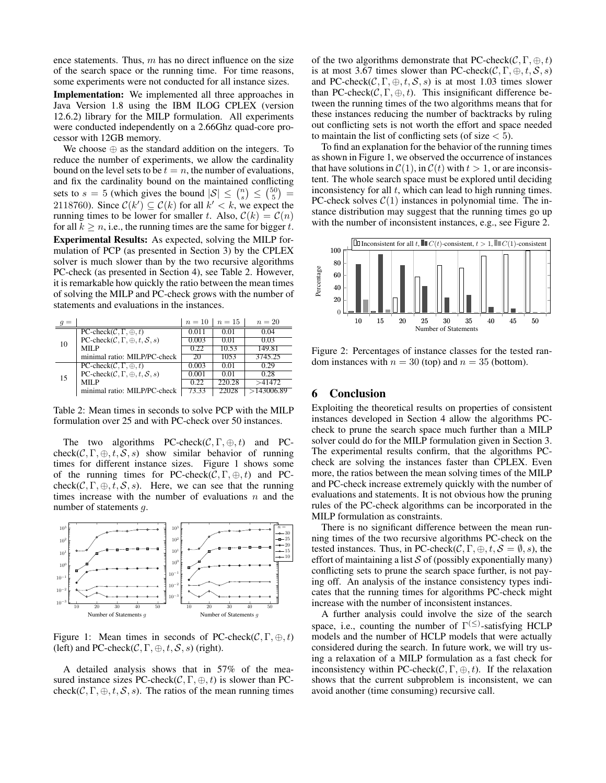ence statements. Thus,  $m$  has no direct influence on the size of the search space or the running time. For time reasons, some experiments were not conducted for all instance sizes.

Implementation: We implemented all three approaches in Java Version 1.8 using the IBM ILOG CPLEX (version 12.6.2) library for the MILP formulation. All experiments were conducted independently on a 2.66Ghz quad-core processor with 12GB memory.

We choose  $\oplus$  as the standard addition on the integers. To reduce the number of experiments, we allow the cardinality bound on the level sets to be  $t = n$ , the number of evaluations, and fix the cardinality bound on the maintained conflicting sets to  $s = 5$  (which gives the bound  $|S| \leq {n \choose s} \leq {50 \choose 5} =$ 2118760). Since  $C(k') \subseteq C(k)$  for all  $k' < k$ , we expect the running times to be lower for smaller t. Also,  $C(k) = C(n)$ for all  $k \geq n$ , i.e., the running times are the same for bigger t. Experimental Results: As expected, solving the MILP formulation of PCP (as presented in Section 3) by the CPLEX solver is much slower than by the two recursive algorithms PC-check (as presented in Section 4), see Table 2. However, it is remarkable how quickly the ratio between the mean times of solving the MILP and PC-check grows with the number of statements and evaluations in the instances.

| $=$ |                                                                   | $n=10$ | $n = 15$ | $n=20$     |
|-----|-------------------------------------------------------------------|--------|----------|------------|
| 10  | $PC$ -check $(C, \Gamma, \oplus, t)$                              | 0.011  | 0.01     | 0.04       |
|     | PC-check $(C, \Gamma, \oplus, t, S, s)$                           | 0.003  | 0.01     | 0.03       |
|     | MILP                                                              | 0.22   | 10.53    | 149.81     |
|     | minimal ratio: MILP/PC-check                                      | 20     | 1053     | 3745.25    |
|     | $PC$ -check $(C, \Gamma, \oplus, t)$                              | 0.003  | 0.01     | 0.29       |
| 15  | $PC\text{-}check(\mathcal{C}, \Gamma, \oplus, t, \mathcal{S}, s)$ | 0.001  | 0.01     | 0.28       |
|     | MILP                                                              | 0.22   | 220.28   | >41472     |
|     | minimal ratio: MILP/PC-check                                      | 73.33  | 22028    | >143006.89 |

Table 2: Mean times in seconds to solve PCP with the MILP formulation over 25 and with PC-check over 50 instances.

The two algorithms PC-check( $C, \Gamma, \oplus, t$ ) and PCcheck(C,  $\Gamma$ ,  $\oplus$ , t, S, s) show similar behavior of running times for different instance sizes. Figure 1 shows some of the running times for PC-check( $\mathcal{C}, \Gamma, \oplus, t$ ) and PCcheck( $C, \Gamma, \oplus, t, S, s$ ). Here, we can see that the running times increase with the number of evaluations  $n$  and the number of statements q.



Figure 1: Mean times in seconds of PC-check( $\mathcal{C}, \Gamma, \oplus, t$ ) (left) and PC-check( $C, \Gamma, \oplus, t, S, s$ ) (right).

A detailed analysis shows that in 57% of the measured instance sizes PC-check( $\mathcal{C}, \Gamma, \oplus, t$ ) is slower than PCcheck( $C, \Gamma, \oplus, t, S, s$ ). The ratios of the mean running times of the two algorithms demonstrate that PC-check( $\mathcal{C}, \Gamma, \oplus, t$ ) is at most 3.67 times slower than PC-check( $\mathcal{C}, \Gamma, \oplus, t, \mathcal{S}, s$ ) and PC-check( $C, \Gamma, \oplus, t, S, s$ ) is at most 1.03 times slower than PC-check( $C, \Gamma, \oplus, t$ ). This insignificant difference between the running times of the two algorithms means that for these instances reducing the number of backtracks by ruling out conflicting sets is not worth the effort and space needed to maintain the list of conflicting sets (of size  $<$  5).

To find an explanation for the behavior of the running times as shown in Figure 1, we observed the occurrence of instances that have solutions in  $C(1)$ , in  $C(t)$  with  $t > 1$ , or are inconsistent. The whole search space must be explored until deciding inconsistency for all  $t$ , which can lead to high running times. PC-check solves  $C(1)$  instances in polynomial time. The instance distribution may suggest that the running times go up with the number of inconsistent instances, e.g., see Figure 2.



Figure 2: Percentages of instance classes for the tested random instances with  $n = 30$  (top) and  $n = 35$  (bottom).

#### 6 Conclusion

Exploiting the theoretical results on properties of consistent instances developed in Section 4 allow the algorithms PCcheck to prune the search space much further than a MILP solver could do for the MILP formulation given in Section 3. The experimental results confirm, that the algorithms PCcheck are solving the instances faster than CPLEX. Even more, the ratios between the mean solving times of the MILP and PC-check increase extremely quickly with the number of evaluations and statements. It is not obvious how the pruning rules of the PC-check algorithms can be incorporated in the MILP formulation as constraints.

There is no significant difference between the mean running times of the two recursive algorithms PC-check on the tested instances. Thus, in PC-check( $\mathcal{C}, \Gamma, \oplus, t, \mathcal{S} = \emptyset$ , s), the effort of maintaining a list  $S$  of (possibly exponentially many) conflicting sets to prune the search space further, is not paying off. An analysis of the instance consistency types indicates that the running times for algorithms PC-check might increase with the number of inconsistent instances.

A further analysis could involve the size of the search space, i.e., counting the number of  $\Gamma^{(\le)}$ -satisfying HCLP models and the number of HCLP models that were actually considered during the search. In future work, we will try using a relaxation of a MILP formulation as a fast check for inconsistency within PC-check( $\mathcal{C}, \Gamma, \oplus, t$ ). If the relaxation shows that the current subproblem is inconsistent, we can avoid another (time consuming) recursive call.